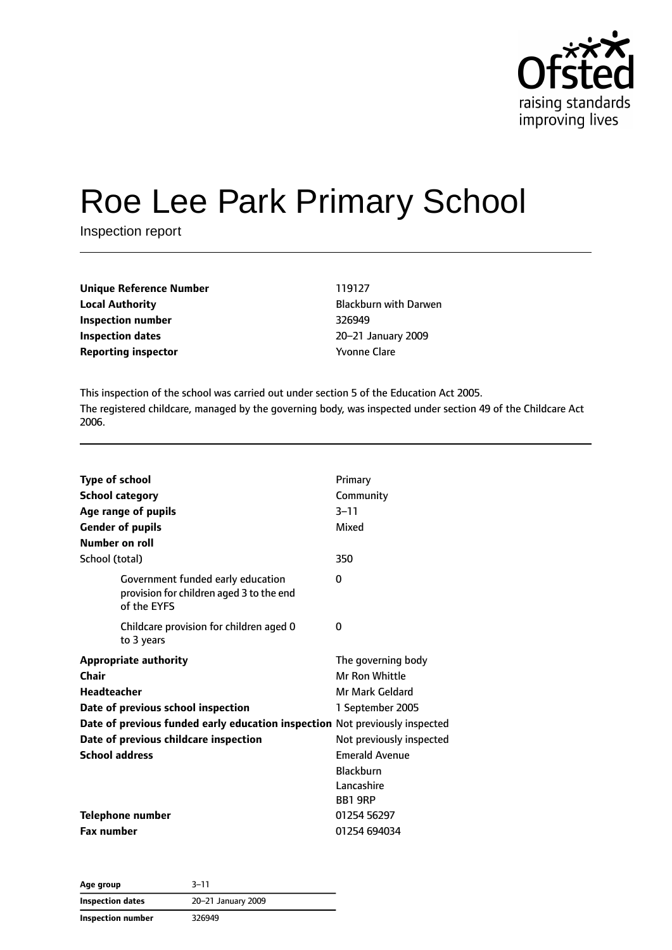

# Roe Lee Park Primary School

Inspection report

| Unique Reference Number    | 119127               |
|----------------------------|----------------------|
| <b>Local Authority</b>     | <b>Blackburn wit</b> |
| Inspection number          | 326949               |
| Inspection dates           | 20-21 Januar         |
| <b>Reporting inspector</b> | <b>Yvonne Clare</b>  |

**Local Authority** Blackburn with Darwen **Inspection dates** 20–21 January 2009

This inspection of the school was carried out under section 5 of the Education Act 2005. The registered childcare, managed by the governing body, was inspected under section 49 of the Childcare Act 2006.

| <b>Type of school</b>                                                                        | Primary                  |
|----------------------------------------------------------------------------------------------|--------------------------|
| <b>School category</b>                                                                       | Community                |
| Age range of pupils                                                                          | $3 - 11$                 |
| <b>Gender of pupils</b>                                                                      | Mixed                    |
| Number on roll                                                                               |                          |
| School (total)                                                                               | 350                      |
| Government funded early education<br>provision for children aged 3 to the end<br>of the EYFS | $\Omega$                 |
| Childcare provision for children aged 0<br>to 3 years                                        | 0                        |
| <b>Appropriate authority</b>                                                                 | The governing body       |
| Chair                                                                                        | Mr Ron Whittle           |
| <b>Headteacher</b>                                                                           | Mr Mark Geldard          |
| Date of previous school inspection                                                           | 1 September 2005         |
| Date of previous funded early education inspection Not previously inspected                  |                          |
| Date of previous childcare inspection                                                        | Not previously inspected |
| <b>School address</b>                                                                        | <b>Emerald Avenue</b>    |
|                                                                                              | <b>Blackburn</b>         |
|                                                                                              | Lancashire               |
|                                                                                              | <b>BB1 9RP</b>           |
| Telephone number                                                                             | 01254 56297              |
| <b>Fax number</b>                                                                            | 01254 694034             |

**Age group** 3–11 **Inspection dates** 20–21 January 2009 **Inspection number** 326949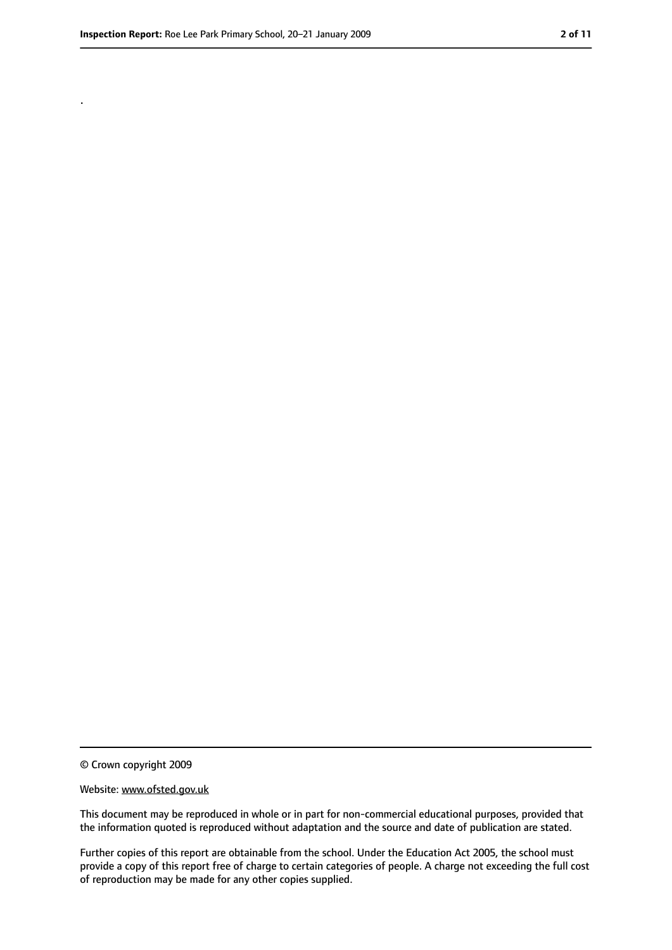.

<sup>©</sup> Crown copyright 2009

Website: www.ofsted.gov.uk

This document may be reproduced in whole or in part for non-commercial educational purposes, provided that the information quoted is reproduced without adaptation and the source and date of publication are stated.

Further copies of this report are obtainable from the school. Under the Education Act 2005, the school must provide a copy of this report free of charge to certain categories of people. A charge not exceeding the full cost of reproduction may be made for any other copies supplied.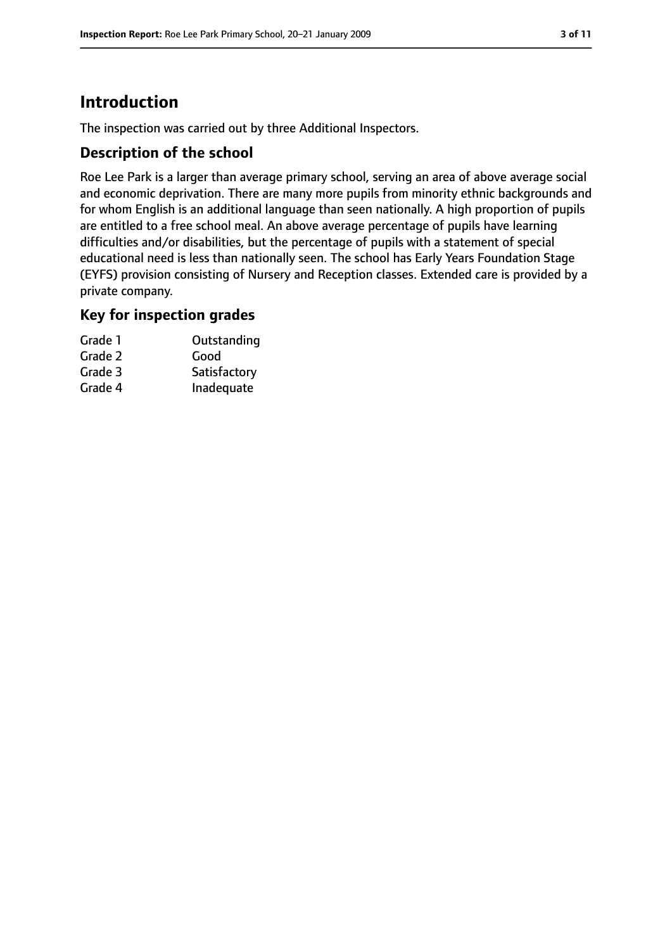# **Introduction**

The inspection was carried out by three Additional Inspectors.

## **Description of the school**

Roe Lee Park is a larger than average primary school, serving an area of above average social and economic deprivation. There are many more pupils from minority ethnic backgrounds and for whom English is an additional language than seen nationally. A high proportion of pupils are entitled to a free school meal. An above average percentage of pupils have learning difficulties and/or disabilities, but the percentage of pupils with a statement of special educational need is less than nationally seen. The school has Early Years Foundation Stage (EYFS) provision consisting of Nursery and Reception classes. Extended care is provided by a private company.

#### **Key for inspection grades**

| Grade 1 | Outstanding  |
|---------|--------------|
| Grade 2 | Good         |
| Grade 3 | Satisfactory |
| Grade 4 | Inadequate   |
|         |              |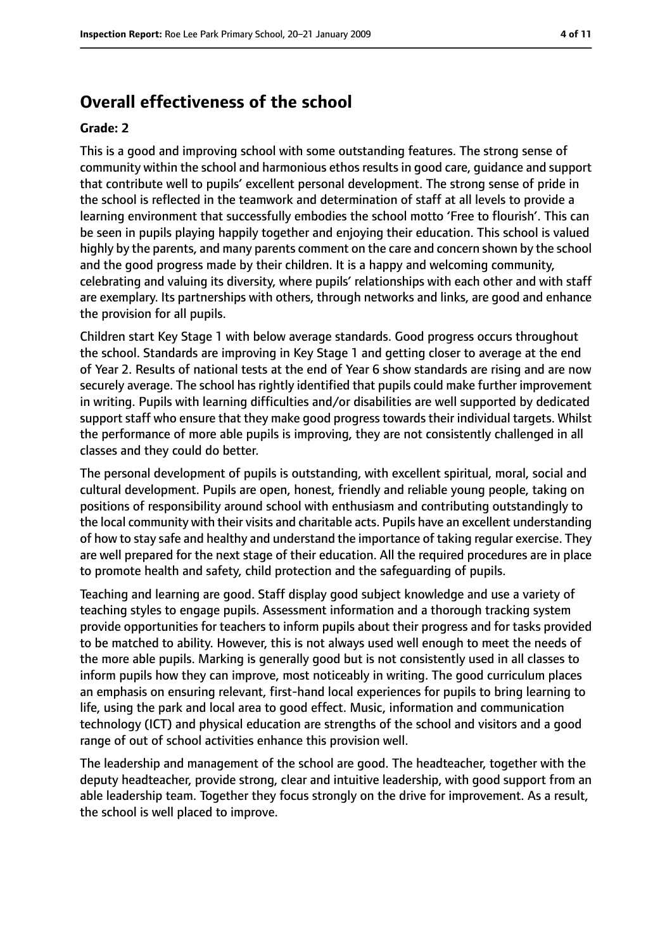# **Overall effectiveness of the school**

#### **Grade: 2**

This is a good and improving school with some outstanding features. The strong sense of community within the school and harmonious ethos results in good care, guidance and support that contribute well to pupils' excellent personal development. The strong sense of pride in the school is reflected in the teamwork and determination of staff at all levels to provide a learning environment that successfully embodies the school motto 'Free to flourish'. This can be seen in pupils playing happily together and enjoying their education. This school is valued highly by the parents, and many parents comment on the care and concern shown by the school and the good progress made by their children. It is a happy and welcoming community, celebrating and valuing its diversity, where pupils' relationships with each other and with staff are exemplary. Its partnerships with others, through networks and links, are good and enhance the provision for all pupils.

Children start Key Stage 1 with below average standards. Good progress occurs throughout the school. Standards are improving in Key Stage 1 and getting closer to average at the end of Year 2. Results of national tests at the end of Year 6 show standards are rising and are now securely average. The school has rightly identified that pupils could make further improvement in writing. Pupils with learning difficulties and/or disabilities are well supported by dedicated support staff who ensure that they make good progress towards their individual targets. Whilst the performance of more able pupils is improving, they are not consistently challenged in all classes and they could do better.

The personal development of pupils is outstanding, with excellent spiritual, moral, social and cultural development. Pupils are open, honest, friendly and reliable young people, taking on positions of responsibility around school with enthusiasm and contributing outstandingly to the local community with their visits and charitable acts. Pupils have an excellent understanding of how to stay safe and healthy and understand the importance of taking regular exercise. They are well prepared for the next stage of their education. All the required procedures are in place to promote health and safety, child protection and the safeguarding of pupils.

Teaching and learning are good. Staff display good subject knowledge and use a variety of teaching styles to engage pupils. Assessment information and a thorough tracking system provide opportunities for teachers to inform pupils about their progress and for tasks provided to be matched to ability. However, this is not always used well enough to meet the needs of the more able pupils. Marking is generally good but is not consistently used in all classes to inform pupils how they can improve, most noticeably in writing. The good curriculum places an emphasis on ensuring relevant, first-hand local experiences for pupils to bring learning to life, using the park and local area to good effect. Music, information and communication technology (ICT) and physical education are strengths of the school and visitors and a good range of out of school activities enhance this provision well.

The leadership and management of the school are good. The headteacher, together with the deputy headteacher, provide strong, clear and intuitive leadership, with good support from an able leadership team. Together they focus strongly on the drive for improvement. As a result, the school is well placed to improve.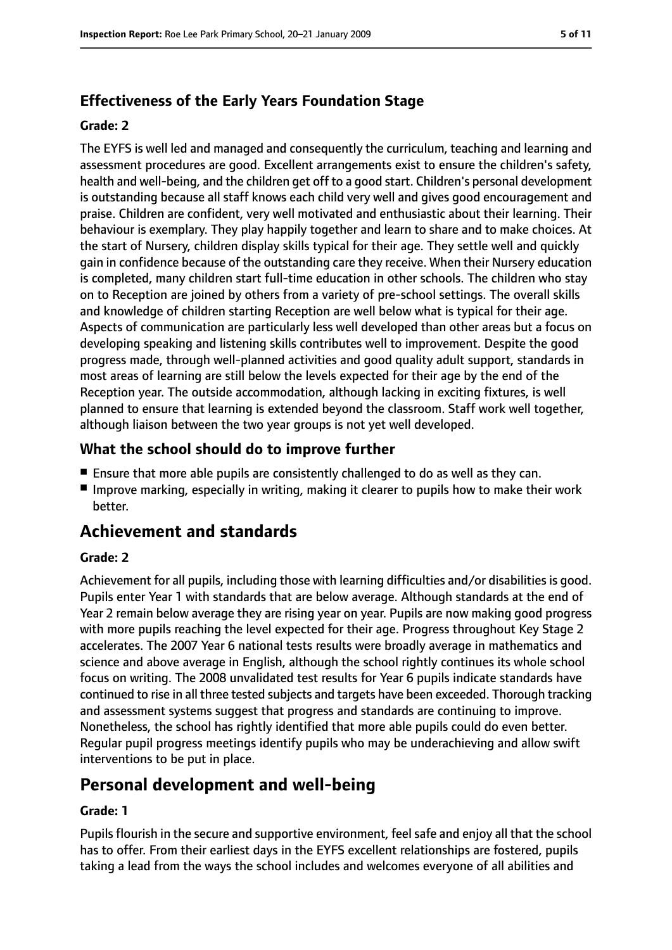## **Effectiveness of the Early Years Foundation Stage**

#### **Grade: 2**

The EYFS is well led and managed and consequently the curriculum, teaching and learning and assessment procedures are good. Excellent arrangements exist to ensure the children's safety, health and well-being, and the children get off to a good start. Children's personal development is outstanding because all staff knows each child very well and gives good encouragement and praise. Children are confident, very well motivated and enthusiastic about their learning. Their behaviour is exemplary. They play happily together and learn to share and to make choices. At the start of Nursery, children display skills typical for their age. They settle well and quickly gain in confidence because of the outstanding care they receive. When their Nursery education is completed, many children start full-time education in other schools. The children who stay on to Reception are joined by others from a variety of pre-school settings. The overall skills and knowledge of children starting Reception are well below what is typical for their age. Aspects of communication are particularly less well developed than other areas but a focus on developing speaking and listening skills contributes well to improvement. Despite the good progress made, through well-planned activities and good quality adult support, standards in most areas of learning are still below the levels expected for their age by the end of the Reception year. The outside accommodation, although lacking in exciting fixtures, is well planned to ensure that learning is extended beyond the classroom. Staff work well together, although liaison between the two year groups is not yet well developed.

## **What the school should do to improve further**

- Ensure that more able pupils are consistently challenged to do as well as they can.
- Improve marking, especially in writing, making it clearer to pupils how to make their work better.

# **Achievement and standards**

#### **Grade: 2**

Achievement for all pupils, including those with learning difficulties and/or disabilities is good. Pupils enter Year 1 with standards that are below average. Although standards at the end of Year 2 remain below average they are rising year on year. Pupils are now making good progress with more pupils reaching the level expected for their age. Progress throughout Key Stage 2 accelerates. The 2007 Year 6 national tests results were broadly average in mathematics and science and above average in English, although the school rightly continues its whole school focus on writing. The 2008 unvalidated test results for Year 6 pupils indicate standards have continued to rise in all three tested subjects and targets have been exceeded. Thorough tracking and assessment systems suggest that progress and standards are continuing to improve. Nonetheless, the school has rightly identified that more able pupils could do even better. Regular pupil progress meetings identify pupils who may be underachieving and allow swift interventions to be put in place.

# **Personal development and well-being**

#### **Grade: 1**

Pupils flourish in the secure and supportive environment, feel safe and enjoy all that the school has to offer. From their earliest days in the EYFS excellent relationships are fostered, pupils taking a lead from the ways the school includes and welcomes everyone of all abilities and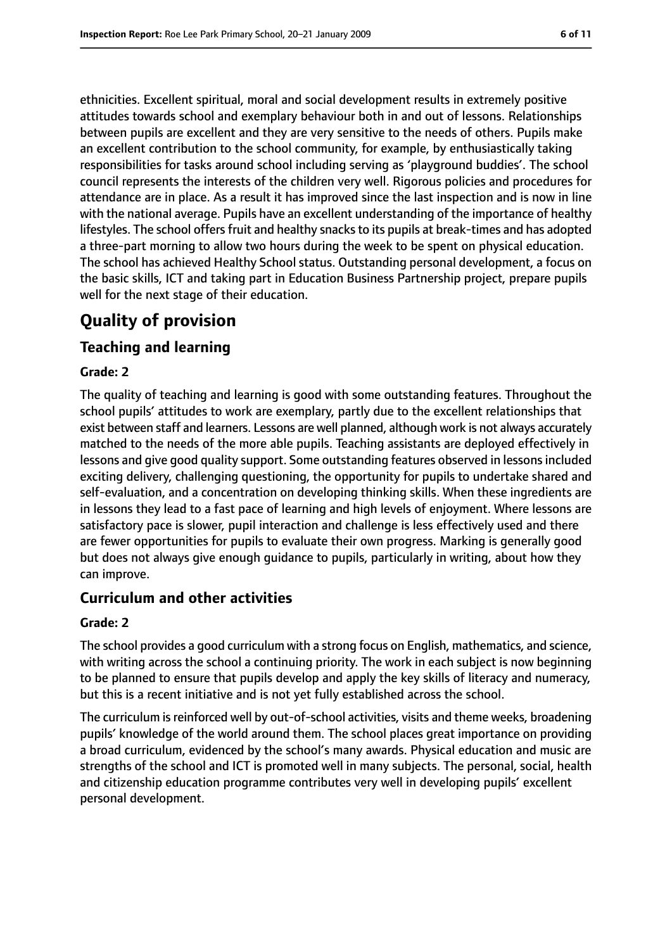ethnicities. Excellent spiritual, moral and social development results in extremely positive attitudes towards school and exemplary behaviour both in and out of lessons. Relationships between pupils are excellent and they are very sensitive to the needs of others. Pupils make an excellent contribution to the school community, for example, by enthusiastically taking responsibilities for tasks around school including serving as 'playground buddies'. The school council represents the interests of the children very well. Rigorous policies and procedures for attendance are in place. As a result it has improved since the last inspection and is now in line with the national average. Pupils have an excellent understanding of the importance of healthy lifestyles. The school offers fruit and healthy snacks to its pupils at break-times and has adopted a three-part morning to allow two hours during the week to be spent on physical education. The school has achieved Healthy School status. Outstanding personal development, a focus on the basic skills, ICT and taking part in Education Business Partnership project, prepare pupils well for the next stage of their education.

# **Quality of provision**

#### **Teaching and learning**

#### **Grade: 2**

The quality of teaching and learning is good with some outstanding features. Throughout the school pupils' attitudes to work are exemplary, partly due to the excellent relationships that exist between staff and learners. Lessons are well planned, although work is not always accurately matched to the needs of the more able pupils. Teaching assistants are deployed effectively in lessons and give good quality support. Some outstanding features observed in lessons included exciting delivery, challenging questioning, the opportunity for pupils to undertake shared and self-evaluation, and a concentration on developing thinking skills. When these ingredients are in lessons they lead to a fast pace of learning and high levels of enjoyment. Where lessons are satisfactory pace is slower, pupil interaction and challenge is less effectively used and there are fewer opportunities for pupils to evaluate their own progress. Marking is generally good but does not always give enough guidance to pupils, particularly in writing, about how they can improve.

#### **Curriculum and other activities**

#### **Grade: 2**

The school provides a good curriculum with a strong focus on English, mathematics, and science, with writing across the school a continuing priority. The work in each subject is now beginning to be planned to ensure that pupils develop and apply the key skills of literacy and numeracy, but this is a recent initiative and is not yet fully established across the school.

The curriculum is reinforced well by out-of-school activities, visits and theme weeks, broadening pupils' knowledge of the world around them. The school places great importance on providing a broad curriculum, evidenced by the school's many awards. Physical education and music are strengths of the school and ICT is promoted well in many subjects. The personal, social, health and citizenship education programme contributes very well in developing pupils' excellent personal development.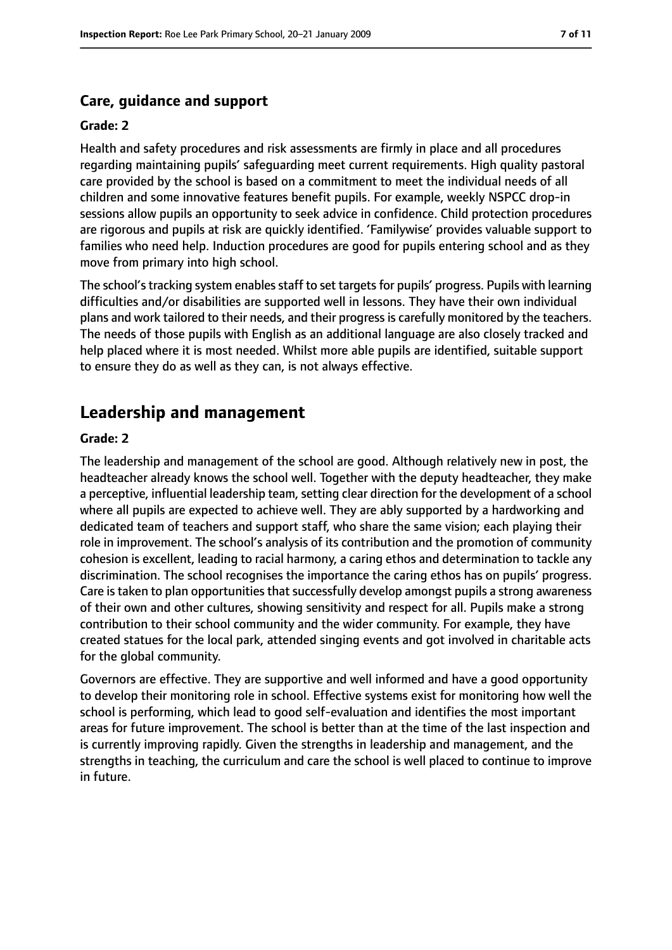#### **Care, guidance and support**

#### **Grade: 2**

Health and safety procedures and risk assessments are firmly in place and all procedures regarding maintaining pupils' safeguarding meet current requirements. High quality pastoral care provided by the school is based on a commitment to meet the individual needs of all children and some innovative features benefit pupils. For example, weekly NSPCC drop-in sessions allow pupils an opportunity to seek advice in confidence. Child protection procedures are rigorous and pupils at risk are quickly identified. 'Familywise' provides valuable support to families who need help. Induction procedures are good for pupils entering school and as they move from primary into high school.

The school's tracking system enables staff to set targets for pupils' progress. Pupils with learning difficulties and/or disabilities are supported well in lessons. They have their own individual plans and work tailored to their needs, and their progress is carefully monitored by the teachers. The needs of those pupils with English as an additional language are also closely tracked and help placed where it is most needed. Whilst more able pupils are identified, suitable support to ensure they do as well as they can, is not always effective.

#### **Leadership and management**

#### **Grade: 2**

The leadership and management of the school are good. Although relatively new in post, the headteacher already knows the school well. Together with the deputy headteacher, they make a perceptive, influential leadership team, setting clear direction for the development of a school where all pupils are expected to achieve well. They are ably supported by a hardworking and dedicated team of teachers and support staff, who share the same vision; each playing their role in improvement. The school's analysis of its contribution and the promotion of community cohesion is excellent, leading to racial harmony, a caring ethos and determination to tackle any discrimination. The school recognises the importance the caring ethos has on pupils' progress. Care is taken to plan opportunities that successfully develop amongst pupils a strong awareness of their own and other cultures, showing sensitivity and respect for all. Pupils make a strong contribution to their school community and the wider community. For example, they have created statues for the local park, attended singing events and got involved in charitable acts for the global community.

Governors are effective. They are supportive and well informed and have a good opportunity to develop their monitoring role in school. Effective systems exist for monitoring how well the school is performing, which lead to good self-evaluation and identifies the most important areas for future improvement. The school is better than at the time of the last inspection and is currently improving rapidly. Given the strengths in leadership and management, and the strengths in teaching, the curriculum and care the school is well placed to continue to improve in future.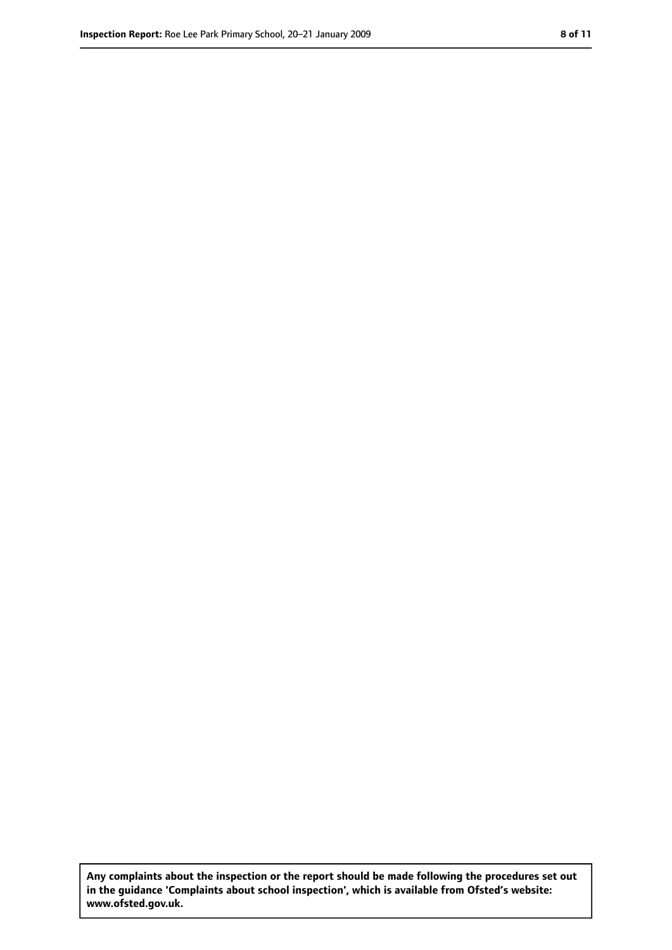**Any complaints about the inspection or the report should be made following the procedures set out in the guidance 'Complaints about school inspection', which is available from Ofsted's website: www.ofsted.gov.uk.**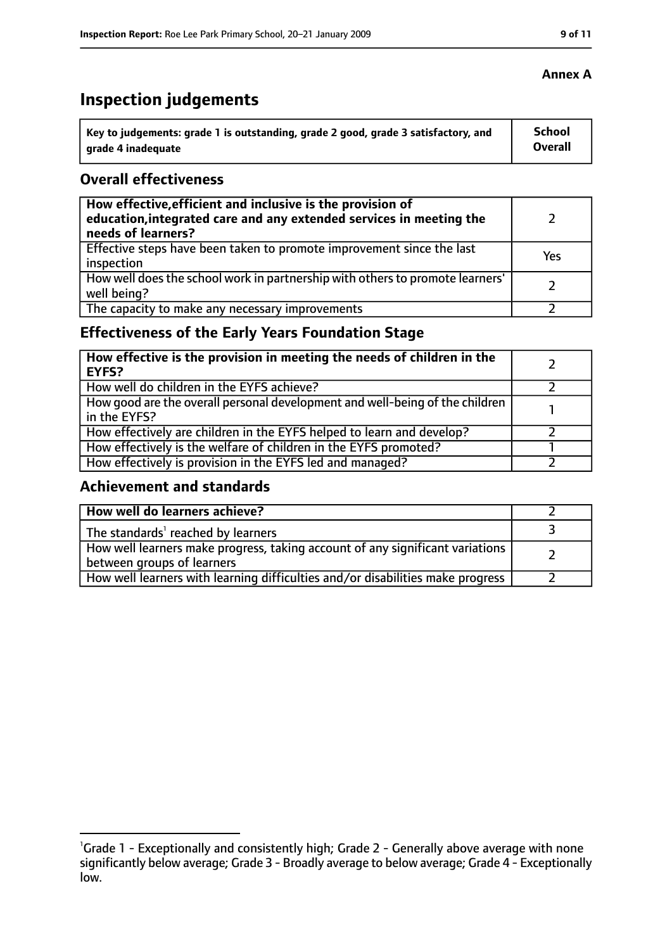# **Inspection judgements**

| Key to judgements: grade 1 is outstanding, grade 2 good, grade 3 satisfactory, and | <b>School</b>  |
|------------------------------------------------------------------------------------|----------------|
| arade 4 inadequate                                                                 | <b>Overall</b> |

## **Overall effectiveness**

| How effective, efficient and inclusive is the provision of<br>education, integrated care and any extended services in meeting the<br>needs of learners? |     |
|---------------------------------------------------------------------------------------------------------------------------------------------------------|-----|
| Effective steps have been taken to promote improvement since the last<br>inspection                                                                     | Yes |
| How well does the school work in partnership with others to promote learners'<br>well being?                                                            |     |
| The capacity to make any necessary improvements                                                                                                         |     |

# **Effectiveness of the Early Years Foundation Stage**

| How effective is the provision in meeting the needs of children in the<br><b>EYFS?</b>       |  |
|----------------------------------------------------------------------------------------------|--|
| How well do children in the EYFS achieve?                                                    |  |
| How good are the overall personal development and well-being of the children<br>in the EYFS? |  |
| How effectively are children in the EYFS helped to learn and develop?                        |  |
| How effectively is the welfare of children in the EYFS promoted?                             |  |
| How effectively is provision in the EYFS led and managed?                                    |  |

## **Achievement and standards**

| How well do learners achieve?                                                                               |  |
|-------------------------------------------------------------------------------------------------------------|--|
| The standards <sup>1</sup> reached by learners                                                              |  |
| How well learners make progress, taking account of any significant variations<br>between groups of learners |  |
| How well learners with learning difficulties and/or disabilities make progress                              |  |

#### **Annex A**

<sup>&</sup>lt;sup>1</sup>Grade 1 - Exceptionally and consistently high; Grade 2 - Generally above average with none significantly below average; Grade 3 - Broadly average to below average; Grade 4 - Exceptionally low.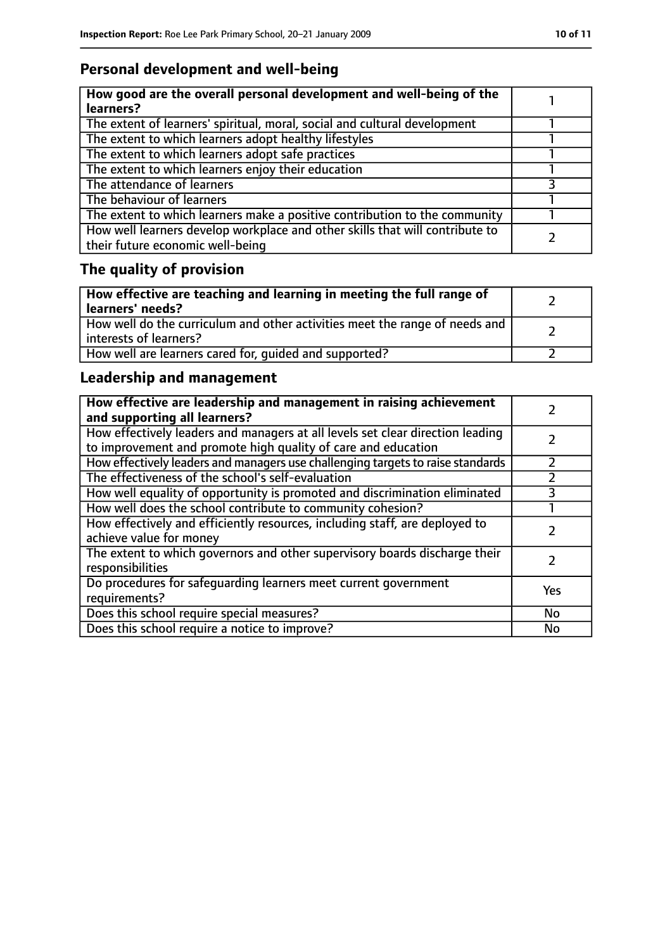# **Personal development and well-being**

| How good are the overall personal development and well-being of the<br>learners?                                 |  |
|------------------------------------------------------------------------------------------------------------------|--|
| The extent of learners' spiritual, moral, social and cultural development                                        |  |
| The extent to which learners adopt healthy lifestyles                                                            |  |
| The extent to which learners adopt safe practices                                                                |  |
| The extent to which learners enjoy their education                                                               |  |
| The attendance of learners                                                                                       |  |
| The behaviour of learners                                                                                        |  |
| The extent to which learners make a positive contribution to the community                                       |  |
| How well learners develop workplace and other skills that will contribute to<br>their future economic well-being |  |

# **The quality of provision**

| How effective are teaching and learning in meeting the full range of<br>learners' needs?              |  |
|-------------------------------------------------------------------------------------------------------|--|
| How well do the curriculum and other activities meet the range of needs and<br>interests of learners? |  |
| How well are learners cared for, quided and supported?                                                |  |

# **Leadership and management**

| How effective are leadership and management in raising achievement<br>and supporting all learners?                                              |     |
|-------------------------------------------------------------------------------------------------------------------------------------------------|-----|
| How effectively leaders and managers at all levels set clear direction leading<br>to improvement and promote high quality of care and education |     |
| How effectively leaders and managers use challenging targets to raise standards                                                                 |     |
| The effectiveness of the school's self-evaluation                                                                                               |     |
| How well equality of opportunity is promoted and discrimination eliminated                                                                      |     |
| How well does the school contribute to community cohesion?                                                                                      |     |
| How effectively and efficiently resources, including staff, are deployed to<br>achieve value for money                                          |     |
| The extent to which governors and other supervisory boards discharge their<br>responsibilities                                                  |     |
| Do procedures for safequarding learners meet current government<br>requirements?                                                                | Yes |
| Does this school require special measures?                                                                                                      | No  |
| Does this school require a notice to improve?                                                                                                   | No  |